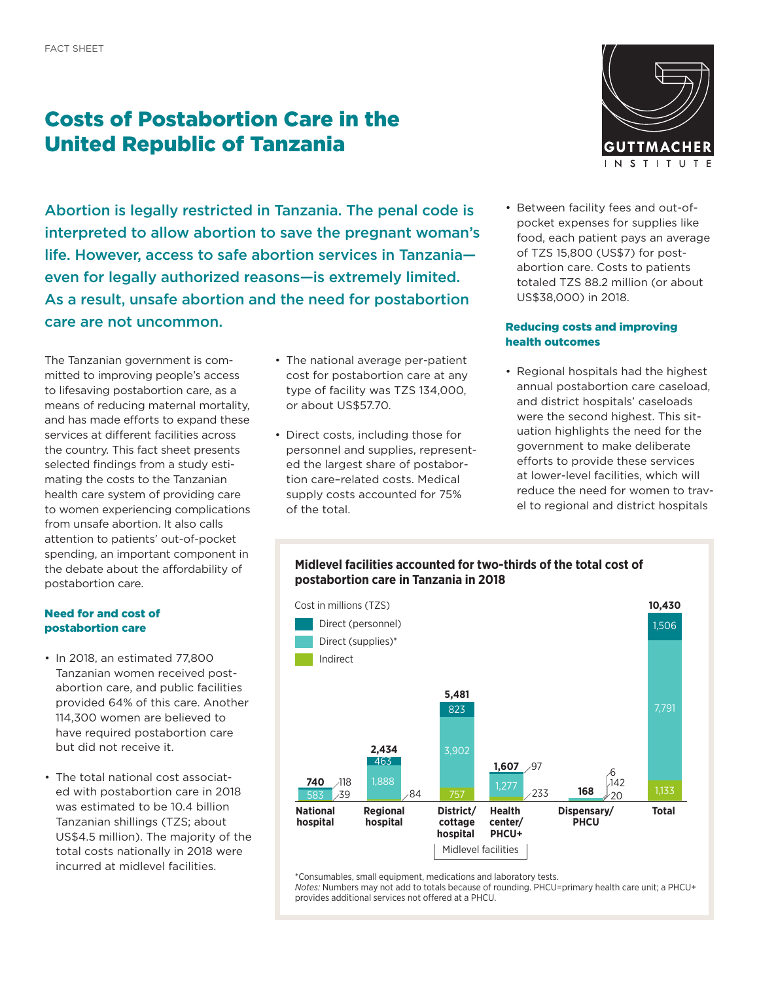# Costs of Postabortion Care in the United Republic of Tanzania

Abortion is legally restricted in Tanzania. The penal code is interpreted to allow abortion to save the pregnant woman's life. However, access to safe abortion services in Tanzania even for legally authorized reasons—is extremely limited. As a result, unsafe abortion and the need for postabortion care are not uncommon.

The Tanzanian government is committed to improving people's access to lifesaving postabortion care, as a means of reducing maternal mortality, and has made efforts to expand these services at different facilities across the country. This fact sheet presents selected findings from a study estimating the costs to the Tanzanian health care system of providing care to women experiencing complications from unsafe abortion. It also calls attention to patients' out-of-pocket spending, an important component in the debate about the affordability of postabortion care.

## Need for and cost of postabortion care

- In 2018, an estimated 77,800 Tanzanian women received postabortion care, and public facilities provided 64% of this care. Another 114,300 women are believed to have required postabortion care but did not receive it.
- The total national cost associated with postabortion care in 2018 was estimated to be 10.4 billion Tanzanian shillings (TZS; about US\$4.5 million). The majority of the total costs nationally in 2018 were incurred at midlevel facilities.
- The national average per-patient cost for postabortion care at any **Indirect costs** type of facility was TZS 134,000, or about US\$57.70.
- **•** Direct costs, including those for personnel and supplies, represented the largest share of postabortion care–related costs. Medical supply costs accounted for 75% of the total.



• Between facility fees and out-ofpocket expenses for supplies like food, each patient pays an average of TZS 15,800 (US\$7) for postabortion care. Costs to patients totaled TZS 88.2 million (or about US\$38,000) in 2018.

## Reducing costs and improving health outcomes

• Regional hospitals had the highest annual postabortion care caseload, **Personnel** and district hospitals' caseloads **Direct costs** were the second highest. This situation highlights the need for the government to make deliberate **Supplies** efforts to provide these services at lower-level facilities, which will reduce the need for women to travel to regional and district hospitals **14% 75%**



**Midlevel facilities accounted for two-thirds of the total cost of** 

\*Consumables, small equipment, medications and laboratory tests.

*Notes:* Numbers may not add to totals because of rounding. PHCU=primary health care unit; a PHCU+ provides additional services not offered at a PHCU.